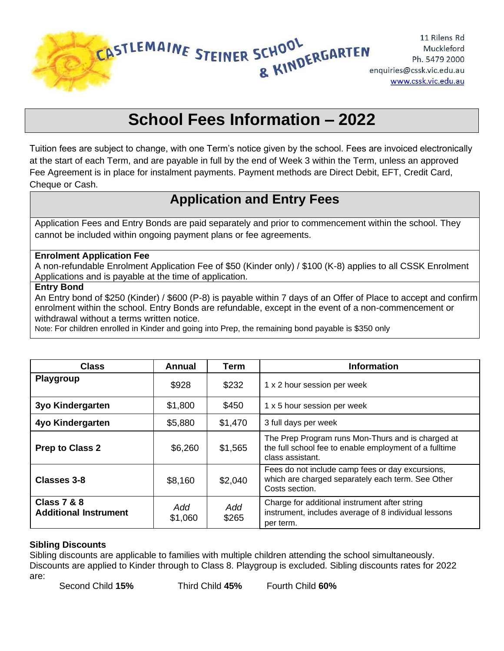

# **School Fees Information – 2022**

Tuition fees are subject to change, with one Term's notice given by the school. Fees are invoiced electronically at the start of each Term, and are payable in full by the end of Week 3 within the Term, unless an approved Fee Agreement is in place for instalment payments. Payment methods are Direct Debit, EFT, Credit Card, Cheque or Cash.

# **Application and Entry Fees**

Application Fees and Entry Bonds are paid separately and prior to commencement within the school. They cannot be included within ongoing payment plans or fee agreements.

#### **Enrolment Application Fee**

A non-refundable Enrolment Application Fee of \$50 (Kinder only) / \$100 (K-8) applies to all CSSK Enrolment Applications and is payable at the time of application.

#### **Entry Bond**

An Entry bond of \$250 (Kinder) / \$600 (P-8) is payable within 7 days of an Offer of Place to accept and confirm enrolment within the school. Entry Bonds are refundable, except in the event of a non-commencement or withdrawal without a terms written notice.

Note: For children enrolled in Kinder and going into Prep, the remaining bond payable is \$350 only

| <b>Class</b>                                           | Annual         | <b>Term</b>  | <b>Information</b>                                                                                                              |
|--------------------------------------------------------|----------------|--------------|---------------------------------------------------------------------------------------------------------------------------------|
| Playgroup                                              | \$928          | \$232        | 1 x 2 hour session per week                                                                                                     |
| 3yo Kindergarten                                       | \$1,800        | \$450        | 1 x 5 hour session per week                                                                                                     |
| 4yo Kindergarten                                       | \$5,880        | \$1,470      | 3 full days per week                                                                                                            |
| <b>Prep to Class 2</b>                                 | \$6,260        | \$1,565      | The Prep Program runs Mon-Thurs and is charged at<br>the full school fee to enable employment of a fulltime<br>class assistant. |
| <b>Classes 3-8</b>                                     | \$8,160        | \$2,040      | Fees do not include camp fees or day excursions,<br>which are charged separately each term. See Other<br>Costs section.         |
| <b>Class 7 &amp; 8</b><br><b>Additional Instrument</b> | Add<br>\$1,060 | Add<br>\$265 | Charge for additional instrument after string<br>instrument, includes average of 8 individual lessons<br>per term.              |

#### **Sibling Discounts**

Sibling discounts are applicable to families with multiple children attending the school simultaneously. Discounts are applied to Kinder through to Class 8. Playgroup is excluded. Sibling discounts rates for 2022 are: